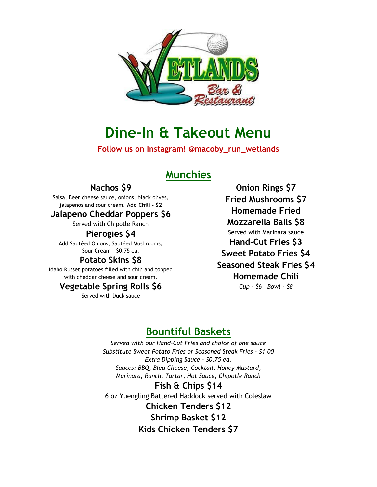

# **Dine-In & Takeout Menu**

**Follow us on Instagram! @macoby\_run\_wetlands**

# **Munchies**

### **Nachos \$9**

Salsa, Beer cheese sauce, onions, black olives, jalapenos and sour cream. **Add Chili - \$2**

#### **Jalapeno Cheddar Poppers \$6**

Served with Chipotle Ranch

#### **Pierogies \$4**

Add Sautéed Onions, Sautéed Mushrooms, Sour Cream - \$0.75 ea.

### **Potato Skins \$8**

Idaho Russet potatoes filled with chili and topped with cheddar cheese and sour cream.

## **Vegetable Spring Rolls \$6**

Served with Duck sauce

**Onion Rings \$7 Fried Mushrooms \$7 Homemade Fried Mozzarella Balls \$8** Served with Marinara sauce **Hand-Cut Fries \$3 Sweet Potato Fries \$4 Seasoned Steak Fries \$4 Homemade Chili** *Cup - \$6 Bowl - \$8*

# **Bountiful Baskets**

*Served with our Hand-Cut Fries and choice of one sauce Substitute Sweet Potato Fries or Seasoned Steak Fries - \$1.00 Extra Dipping Sauce - \$0.75 ea. Sauces: BBQ, Bleu Cheese, Cocktail, Honey Mustard, Marinara, Ranch, Tartar, Hot Sauce, Chipotle Ranch*

**Fish & Chips \$14** 6 oz Yuengling Battered Haddock served with Coleslaw **Chicken Tenders \$12 Shrimp Basket \$12 Kids Chicken Tenders \$7**